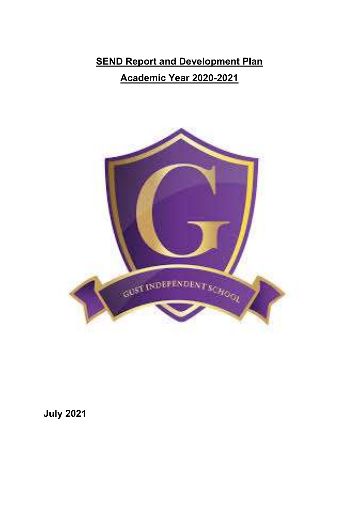# **SEND Report and Development Plan** Academic Year 2020-2021



July 2021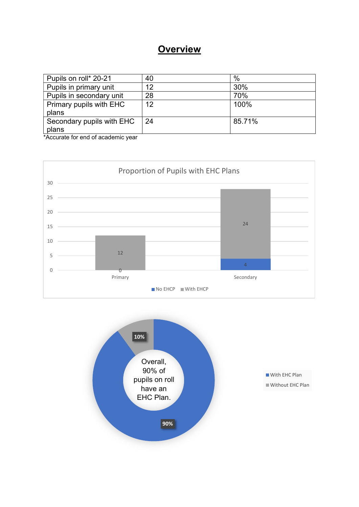# **Overview**

| Pupils on roll* 20-21     | 40 | %      |
|---------------------------|----|--------|
| Pupils in primary unit    | 12 | 30%    |
| Pupils in secondary unit  | 28 | 70%    |
| Primary pupils with EHC   | 12 | 100%   |
| plans                     |    |        |
| Secondary pupils with EHC | 24 | 85.71% |
| plans                     |    |        |

\*Accurate for end of academic year



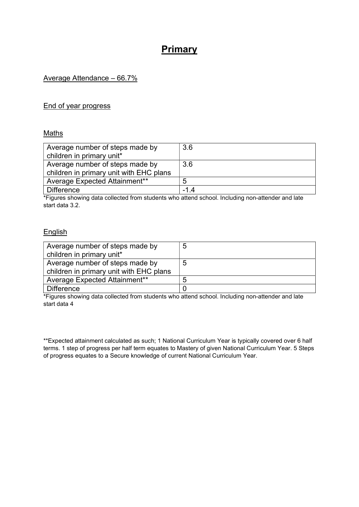# Primary

### Average Attendance – 66.7%

#### End of year progress

#### Maths

| Average number of steps made by         | 3.6 |
|-----------------------------------------|-----|
| children in primary unit*               |     |
| Average number of steps made by         | 3.6 |
| children in primary unit with EHC plans |     |
| Average Expected Attainment**           | h   |
| <b>Difference</b>                       | -14 |

\*Figures showing data collected from students who attend school. Including non-attender and late start data 3.2.

#### **English**

| Average number of steps made by<br>children in primary unit*               | 5 |
|----------------------------------------------------------------------------|---|
| Average number of steps made by<br>children in primary unit with EHC plans | Ð |
| Average Expected Attainment**                                              | h |
| <b>Difference</b>                                                          |   |

\*Figures showing data collected from students who attend school. Including non-attender and late start data 4

\*\*Expected attainment calculated as such; 1 National Curriculum Year is typically covered over 6 half terms. 1 step of progress per half term equates to Mastery of given National Curriculum Year. 5 Steps of progress equates to a Secure knowledge of current National Curriculum Year.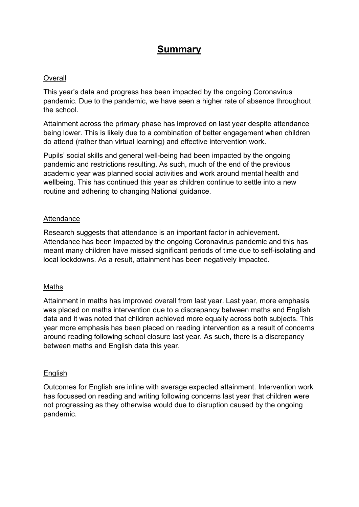# Summary

#### **Overall**

This year's data and progress has been impacted by the ongoing Coronavirus pandemic. Due to the pandemic, we have seen a higher rate of absence throughout the school.

Attainment across the primary phase has improved on last year despite attendance being lower. This is likely due to a combination of better engagement when children do attend (rather than virtual learning) and effective intervention work.

Pupils' social skills and general well-being had been impacted by the ongoing pandemic and restrictions resulting. As such, much of the end of the previous academic year was planned social activities and work around mental health and wellbeing. This has continued this year as children continue to settle into a new routine and adhering to changing National guidance.

### Attendance

Research suggests that attendance is an important factor in achievement. Attendance has been impacted by the ongoing Coronavirus pandemic and this has meant many children have missed significant periods of time due to self-isolating and local lockdowns. As a result, attainment has been negatively impacted.

#### Maths

Attainment in maths has improved overall from last year. Last year, more emphasis was placed on maths intervention due to a discrepancy between maths and English data and it was noted that children achieved more equally across both subjects. This year more emphasis has been placed on reading intervention as a result of concerns around reading following school closure last year. As such, there is a discrepancy between maths and English data this year.

#### **English**

Outcomes for English are inline with average expected attainment. Intervention work has focussed on reading and writing following concerns last year that children were not progressing as they otherwise would due to disruption caused by the ongoing pandemic.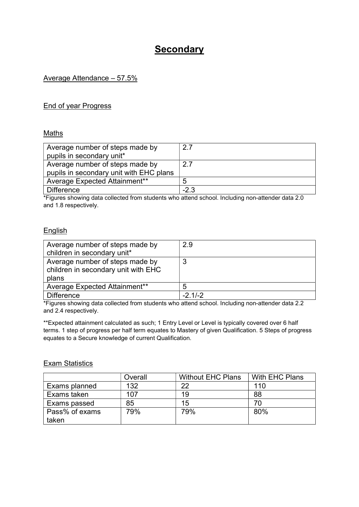# **Secondary**

### Average Attendance – 57.5%

#### End of year Progress

#### Maths

| Average number of steps made by         | 27     |
|-----------------------------------------|--------|
| pupils in secondary unit*               |        |
| Average number of steps made by         | 2.7    |
| pupils in secondary unit with EHC plans |        |
| Average Expected Attainment**           | 5      |
| <b>Difference</b>                       | $-2.3$ |

\*Figures showing data collected from students who attend school. Including non-attender data 2.0 and 1.8 respectively.

#### **English**

| Average number of steps made by<br>children in secondary unit*                  | 2.9       |
|---------------------------------------------------------------------------------|-----------|
| Average number of steps made by<br>children in secondary unit with EHC<br>plans | 3         |
| Average Expected Attainment**                                                   | 5         |
| <b>Difference</b>                                                               | $-2.1/-2$ |

\*Figures showing data collected from students who attend school. Including non-attender data 2.2 and 2.4 respectively.

\*\*Expected attainment calculated as such; 1 Entry Level or Level is typically covered over 6 half terms. 1 step of progress per half term equates to Mastery of given Qualification. 5 Steps of progress equates to a Secure knowledge of current Qualification.

#### **Exam Statistics**

|                | Overall | <b>Without EHC Plans</b> | With EHC Plans |
|----------------|---------|--------------------------|----------------|
| Exams planned  | 132     | つつ                       | 110            |
| Exams taken    | 107     | 19                       | 88             |
| Exams passed   | 85      | 15                       | 70             |
| Pass% of exams | 79%     | 79%                      | 80%            |
| taken          |         |                          |                |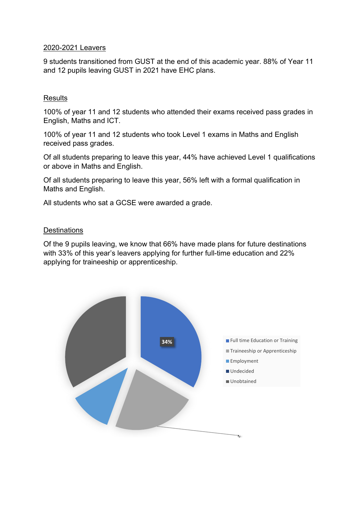### 2020-2021 Leavers

9 students transitioned from GUST at the end of this academic year. 88% of Year 11 and 12 pupils leaving GUST in 2021 have EHC plans.

## **Results**

100% of year 11 and 12 students who attended their exams received pass grades in English, Maths and ICT.

100% of year 11 and 12 students who took Level 1 exams in Maths and English received pass grades.

Of all students preparing to leave this year, 44% have achieved Level 1 qualifications or above in Maths and English.

Of all students preparing to leave this year, 56% left with a formal qualification in Maths and English.

All students who sat a GCSE were awarded a grade.

#### **Destinations**

Of the 9 pupils leaving, we know that 66% have made plans for future destinations with 33% of this year's leavers applying for further full-time education and 22% applying for traineeship or apprenticeship.

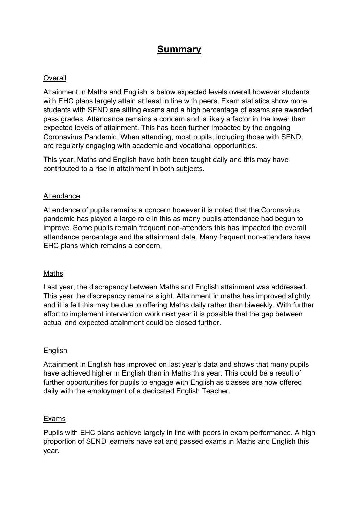# Summary

### **Overall**

Attainment in Maths and English is below expected levels overall however students with EHC plans largely attain at least in line with peers. Exam statistics show more students with SEND are sitting exams and a high percentage of exams are awarded pass grades. Attendance remains a concern and is likely a factor in the lower than expected levels of attainment. This has been further impacted by the ongoing Coronavirus Pandemic. When attending, most pupils, including those with SEND, are regularly engaging with academic and vocational opportunities.

This year, Maths and English have both been taught daily and this may have contributed to a rise in attainment in both subjects.

#### **Attendance**

Attendance of pupils remains a concern however it is noted that the Coronavirus pandemic has played a large role in this as many pupils attendance had begun to improve. Some pupils remain frequent non-attenders this has impacted the overall attendance percentage and the attainment data. Many frequent non-attenders have EHC plans which remains a concern.

#### Maths

Last year, the discrepancy between Maths and English attainment was addressed. This year the discrepancy remains slight. Attainment in maths has improved slightly and it is felt this may be due to offering Maths daily rather than biweekly. With further effort to implement intervention work next year it is possible that the gap between actual and expected attainment could be closed further.

#### English

Attainment in English has improved on last year's data and shows that many pupils have achieved higher in English than in Maths this year. This could be a result of further opportunities for pupils to engage with English as classes are now offered daily with the employment of a dedicated English Teacher.

#### Exams

Pupils with EHC plans achieve largely in line with peers in exam performance. A high proportion of SEND learners have sat and passed exams in Maths and English this year.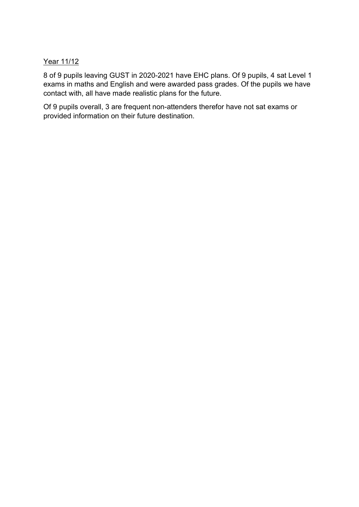## Year 11/12

8 of 9 pupils leaving GUST in 2020-2021 have EHC plans. Of 9 pupils, 4 sat Level 1 exams in maths and English and were awarded pass grades. Of the pupils we have contact with, all have made realistic plans for the future.

Of 9 pupils overall, 3 are frequent non-attenders therefor have not sat exams or provided information on their future destination.